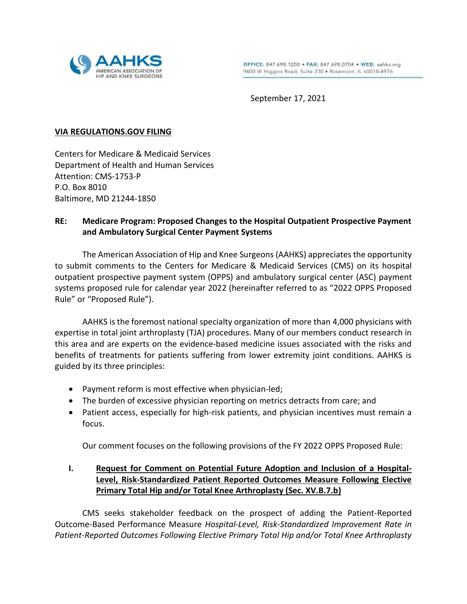

September 17, 2021

#### **VIA REGULATIONS.GOV FILING**

Centers for Medicare & Medicaid Services Department of Health and Human Services Attention: CMS-1753-P P.O. Box 8010 Baltimore, MD 21244-1850

### **RE: Medicare Program: Proposed Changes to the Hospital Outpatient Prospective Payment and Ambulatory Surgical Center Payment Systems**

The American Association of Hip and Knee Surgeons (AAHKS) appreciates the opportunity to submit comments to the Centers for Medicare & Medicaid Services (CMS) on its hospital outpatient prospective payment system (OPPS) and ambulatory surgical center (ASC) payment systems proposed rule for calendar year 2022 (hereinafter referred to as "2022 OPPS Proposed Rule" or "Proposed Rule").

AAHKS is the foremost national specialty organization of more than 4,000 physicians with expertise in total joint arthroplasty (TJA) procedures. Many of our members conduct research in this area and are experts on the evidence-based medicine issues associated with the risks and benefits of treatments for patients suffering from lower extremity joint conditions. AAHKS is guided by its three principles:

- Payment reform is most effective when physician-led;
- The burden of excessive physician reporting on metrics detracts from care; and
- Patient access, especially for high-risk patients, and physician incentives must remain a focus.

Our comment focuses on the following provisions of the FY 2022 OPPS Proposed Rule:

## **I. Request for Comment on Potential Future Adoption and Inclusion of a Hospital-Level, Risk-Standardized Patient Reported Outcomes Measure Following Elective Primary Total Hip and/or Total Knee Arthroplasty (Sec. XV.B.7.b)**

CMS seeks stakeholder feedback on the prospect of adding the Patient-Reported Outcome-Based Performance Measure *Hospital-Level, Risk-Standardized Improvement Rate in Patient-Reported Outcomes Following Elective Primary Total Hip and/or Total Knee Arthroplasty*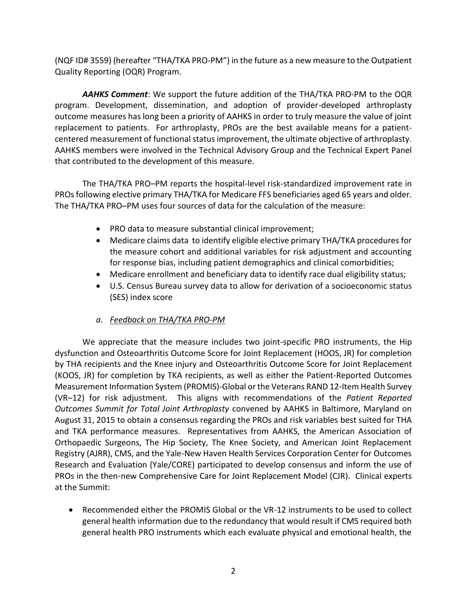(NQF ID# 3559) (hereafter "THA/TKA PRO-PM") in the future as a new measure to the Outpatient Quality Reporting (OQR) Program.

*AAHKS Comment*: We support the future addition of the THA/TKA PRO-PM to the OQR program. Development, dissemination, and adoption of provider-developed arthroplasty outcome measures has long been a priority of AAHKS in order to truly measure the value of joint replacement to patients. For arthroplasty, PROs are the best available means for a patientcentered measurement of functional status improvement, the ultimate objective of arthroplasty. AAHKS members were involved in the Technical Advisory Group and the Technical Expert Panel that contributed to the development of this measure.

The THA/TKA PRO–PM reports the hospital-level risk-standardized improvement rate in PROsfollowing elective primary THA/TKA for Medicare FFS beneficiaries aged 65 years and older. The THA/TKA PRO–PM uses four sources of data for the calculation of the measure:

- PRO data to measure substantial clinical improvement;
- Medicare claims data to identify eligible elective primary THA/TKA procedures for the measure cohort and additional variables for risk adjustment and accounting for response bias, including patient demographics and clinical comorbidities;
- Medicare enrollment and beneficiary data to identify race dual eligibility status;
- U.S. Census Bureau survey data to allow for derivation of a socioeconomic status (SES) index score
- *a. Feedback on THA/TKA PRO-PM*

We appreciate that the measure includes two joint-specific PRO instruments, the Hip dysfunction and Osteoarthritis Outcome Score for Joint Replacement (HOOS, JR) for completion by THA recipients and the Knee injury and Osteoarthritis Outcome Score for Joint Replacement (KOOS, JR) for completion by TKA recipients, as well as either the Patient-Reported Outcomes Measurement Information System (PROMIS)-Global or the Veterans RAND 12-Item Health Survey (VR–12) for risk adjustment. This aligns with recommendations of the *Patient Reported Outcomes Summit for Total Joint Arthroplasty* convened by AAHKS in Baltimore, Maryland on August 31, 2015 to obtain a consensus regarding the PROs and risk variables best suited for THA and TKA performance measures. Representatives from AAHKS, the American Association of Orthopaedic Surgeons, The Hip Society, The Knee Society, and American Joint Replacement Registry (AJRR), CMS, and the Yale-New Haven Health Services Corporation Center for Outcomes Research and Evaluation (Yale/CORE) participated to develop consensus and inform the use of PROs in the then-new Comprehensive Care for Joint Replacement Model (CJR). Clinical experts at the Summit:

 Recommended either the PROMIS Global or the VR-12 instruments to be used to collect general health information due to the redundancy that would result if CMS required both general health PRO instruments which each evaluate physical and emotional health, the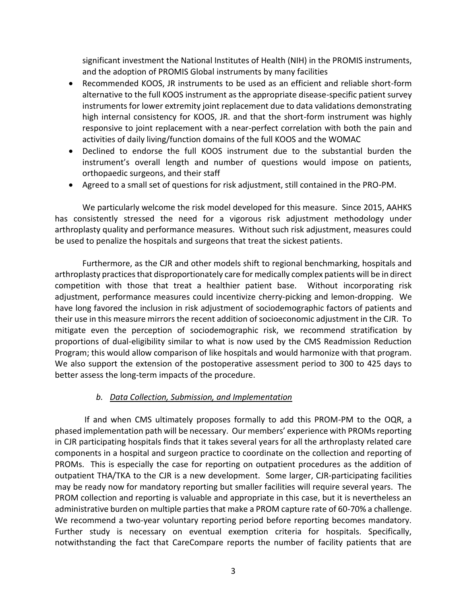significant investment the National Institutes of Health (NIH) in the PROMIS instruments, and the adoption of PROMIS Global instruments by many facilities

- Recommended KOOS, JR instruments to be used as an efficient and reliable short-form alternative to the full KOOS instrument as the appropriate disease-specific patient survey instruments for lower extremity joint replacement due to data validations demonstrating high internal consistency for KOOS, JR. and that the short-form instrument was highly responsive to joint replacement with a near-perfect correlation with both the pain and activities of daily living/function domains of the full KOOS and the WOMAC
- Declined to endorse the full KOOS instrument due to the substantial burden the instrument's overall length and number of questions would impose on patients, orthopaedic surgeons, and their staff
- Agreed to a small set of questions for risk adjustment, still contained in the PRO-PM.

We particularly welcome the risk model developed for this measure. Since 2015, AAHKS has consistently stressed the need for a vigorous risk adjustment methodology under arthroplasty quality and performance measures. Without such risk adjustment, measures could be used to penalize the hospitals and surgeons that treat the sickest patients.

Furthermore, as the CJR and other models shift to regional benchmarking, hospitals and arthroplasty practices that disproportionately care for medically complex patients will be in direct competition with those that treat a healthier patient base. Without incorporating risk adjustment, performance measures could incentivize cherry-picking and lemon-dropping. We have long favored the inclusion in risk adjustment of sociodemographic factors of patients and their use in this measure mirrors the recent addition of socioeconomic adjustment in the CJR. To mitigate even the perception of sociodemographic risk, we recommend stratification by proportions of dual-eligibility similar to what is now used by the CMS Readmission Reduction Program; this would allow comparison of like hospitals and would harmonize with that program. We also support the extension of the postoperative assessment period to 300 to 425 days to better assess the long-term impacts of the procedure.

### *b. Data Collection, Submission, and Implementation*

If and when CMS ultimately proposes formally to add this PROM-PM to the OQR, a phased implementation path will be necessary. Our members' experience with PROMs reporting in CJR participating hospitals finds that it takes several years for all the arthroplasty related care components in a hospital and surgeon practice to coordinate on the collection and reporting of PROMs. This is especially the case for reporting on outpatient procedures as the addition of outpatient THA/TKA to the CJR is a new development. Some larger, CJR-participating facilities may be ready now for mandatory reporting but smaller facilities will require several years. The PROM collection and reporting is valuable and appropriate in this case, but it is nevertheless an administrative burden on multiple parties that make a PROM capture rate of 60-70% a challenge. We recommend a two-year voluntary reporting period before reporting becomes mandatory. Further study is necessary on eventual exemption criteria for hospitals. Specifically, notwithstanding the fact that CareCompare reports the number of facility patients that are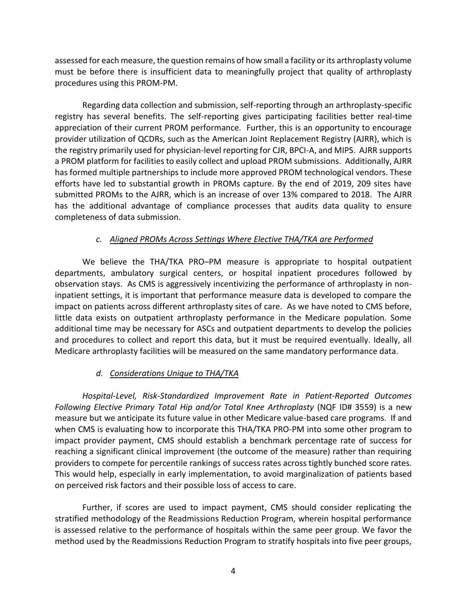assessed for each measure, the question remains of how small a facility or its arthroplasty volume must be before there is insufficient data to meaningfully project that quality of arthroplasty procedures using this PROM-PM.

Regarding data collection and submission, self-reporting through an arthroplasty-specific registry has several benefits. The self-reporting gives participating facilities better real-time appreciation of their current PROM performance. Further, this is an opportunity to encourage provider utilization of QCDRs, such as the American Joint Replacement Registry (AJRR), which is the registry primarily used for physician-level reporting for CJR, BPCI-A, and MIPS. AJRR supports a PROM platform for facilities to easily collect and upload PROM submissions. Additionally, AJRR has formed multiple partnerships to include more approved PROM technological vendors. These efforts have led to substantial growth in PROMs capture. By the end of 2019, 209 sites have submitted PROMs to the AJRR, which is an increase of over 13% compared to 2018. The AJRR has the additional advantage of compliance processes that audits data quality to ensure completeness of data submission.

### *c. Aligned PROMs Across Settings Where Elective THA/TKA are Performed*

We believe the THA/TKA PRO–PM measure is appropriate to hospital outpatient departments, ambulatory surgical centers, or hospital inpatient procedures followed by observation stays. As CMS is aggressively incentivizing the performance of arthroplasty in noninpatient settings, it is important that performance measure data is developed to compare the impact on patients across different arthroplasty sites of care. As we have noted to CMS before, little data exists on outpatient arthroplasty performance in the Medicare population. Some additional time may be necessary for ASCs and outpatient departments to develop the policies and procedures to collect and report this data, but it must be required eventually. Ideally, all Medicare arthroplasty facilities will be measured on the same mandatory performance data.

### *d. Considerations Unique to THA/TKA*

*Hospital-Level, Risk-Standardized Improvement Rate in Patient-Reported Outcomes Following Elective Primary Total Hip and/or Total Knee Arthroplasty* (NQF ID# 3559) is a new measure but we anticipate its future value in other Medicare value-based care programs. If and when CMS is evaluating how to incorporate this THA/TKA PRO-PM into some other program to impact provider payment, CMS should establish a benchmark percentage rate of success for reaching a significant clinical improvement (the outcome of the measure) rather than requiring providers to compete for percentile rankings of success rates across tightly bunched score rates. This would help, especially in early implementation, to avoid marginalization of patients based on perceived risk factors and their possible loss of access to care.

Further, if scores are used to impact payment, CMS should consider replicating the stratified methodology of the Readmissions Reduction Program, wherein hospital performance is assessed relative to the performance of hospitals within the same peer group. We favor the method used by the Readmissions Reduction Program to stratify hospitals into five peer groups,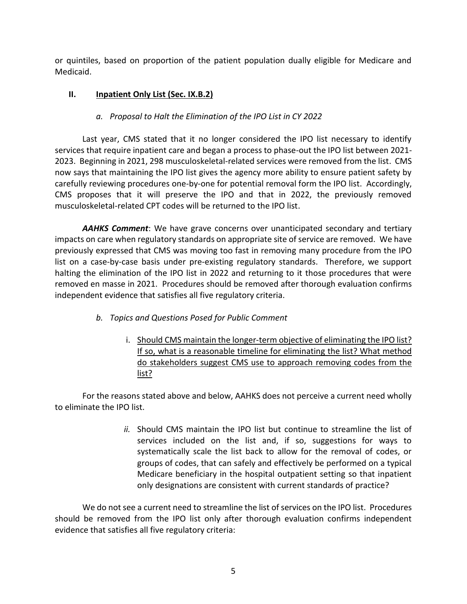or quintiles, based on proportion of the patient population dually eligible for Medicare and Medicaid.

## **II. Inpatient Only List (Sec. IX.B.2)**

## *a. Proposal to Halt the Elimination of the IPO List in CY 2022*

Last year, CMS stated that it no longer considered the IPO list necessary to identify services that require inpatient care and began a process to phase-out the IPO list between 2021- 2023. Beginning in 2021, 298 musculoskeletal-related services were removed from the list. CMS now says that maintaining the IPO list gives the agency more ability to ensure patient safety by carefully reviewing procedures one-by-one for potential removal form the IPO list. Accordingly, CMS proposes that it will preserve the IPO and that in 2022, the previously removed musculoskeletal-related CPT codes will be returned to the IPO list.

*AAHKS Comment*: We have grave concerns over unanticipated secondary and tertiary impacts on care when regulatory standards on appropriate site of service are removed. We have previously expressed that CMS was moving too fast in removing many procedure from the IPO list on a case-by-case basis under pre-existing regulatory standards. Therefore, we support halting the elimination of the IPO list in 2022 and returning to it those procedures that were removed en masse in 2021. Procedures should be removed after thorough evaluation confirms independent evidence that satisfies all five regulatory criteria.

### *b. Topics and Questions Posed for Public Comment*

i. Should CMS maintain the longer-term objective of eliminating the IPO list? If so, what is a reasonable timeline for eliminating the list? What method do stakeholders suggest CMS use to approach removing codes from the list?

For the reasons stated above and below, AAHKS does not perceive a current need wholly to eliminate the IPO list.

> *ii.* Should CMS maintain the IPO list but continue to streamline the list of services included on the list and, if so, suggestions for ways to systematically scale the list back to allow for the removal of codes, or groups of codes, that can safely and effectively be performed on a typical Medicare beneficiary in the hospital outpatient setting so that inpatient only designations are consistent with current standards of practice?

We do not see a current need to streamline the list of services on the IPO list. Procedures should be removed from the IPO list only after thorough evaluation confirms independent evidence that satisfies all five regulatory criteria: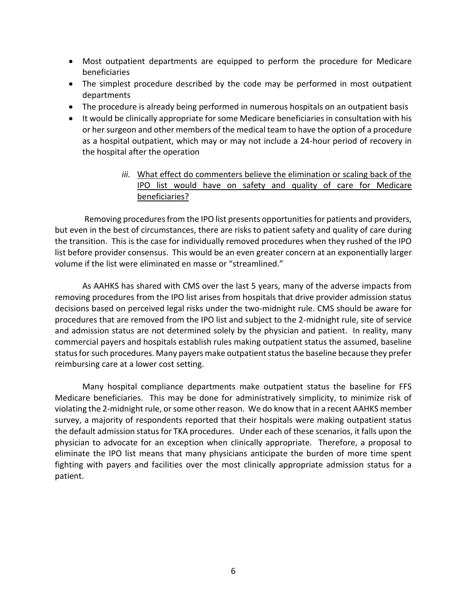- Most outpatient departments are equipped to perform the procedure for Medicare beneficiaries
- The simplest procedure described by the code may be performed in most outpatient departments
- The procedure is already being performed in numerous hospitals on an outpatient basis
- It would be clinically appropriate for some Medicare beneficiaries in consultation with his or her surgeon and other members of the medical team to have the option of a procedure as a hospital outpatient, which may or may not include a 24-hour period of recovery in the hospital after the operation
	- *iii.* What effect do commenters believe the elimination or scaling back of the IPO list would have on safety and quality of care for Medicare beneficiaries?

Removing procedures from the IPO list presents opportunities for patients and providers, but even in the best of circumstances, there are risks to patient safety and quality of care during the transition. This is the case for individually removed procedures when they rushed of the IPO list before provider consensus. This would be an even greater concern at an exponentially larger volume if the list were eliminated en masse or "streamlined."

As AAHKS has shared with CMS over the last 5 years, many of the adverse impacts from removing procedures from the IPO list arises from hospitals that drive provider admission status decisions based on perceived legal risks under the two-midnight rule. CMS should be aware for procedures that are removed from the IPO list and subject to the 2-midnight rule, site of service and admission status are not determined solely by the physician and patient. In reality, many commercial payers and hospitals establish rules making outpatient status the assumed, baseline status for such procedures. Many payers make outpatient status the baseline because they prefer reimbursing care at a lower cost setting.

Many hospital compliance departments make outpatient status the baseline for FFS Medicare beneficiaries. This may be done for administratively simplicity, to minimize risk of violating the 2-midnight rule, or some other reason. We do know that in a recent AAHKS member survey, a majority of respondents reported that their hospitals were making outpatient status the default admission status for TKA procedures. Under each of these scenarios, it falls upon the physician to advocate for an exception when clinically appropriate. Therefore, a proposal to eliminate the IPO list means that many physicians anticipate the burden of more time spent fighting with payers and facilities over the most clinically appropriate admission status for a patient.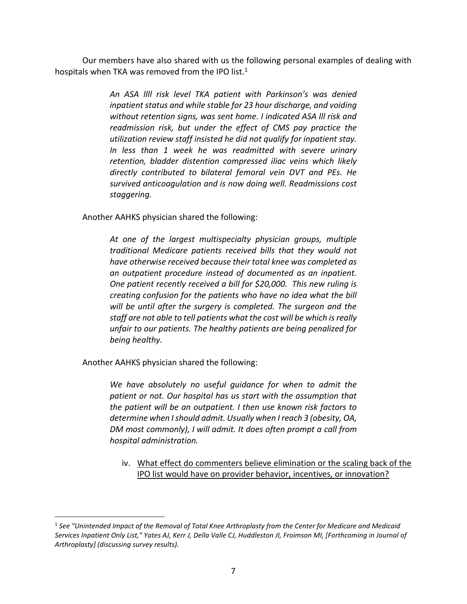Our members have also shared with us the following personal examples of dealing with hospitals when TKA was removed from the IPO list.<sup>1</sup>

> *An ASA llll risk level TKA patient with Parkinson's was denied inpatient status and while stable for 23 hour discharge, and voiding without retention signs, was sent home. I indicated ASA lll risk and readmission risk, but under the effect of CMS pay practice the utilization review staff insisted he did not qualify for inpatient stay. In less than 1 week he was readmitted with severe urinary retention, bladder distention compressed iliac veins which likely directly contributed to bilateral femoral vein DVT and PEs. He survived anticoagulation and is now doing well. Readmissions cost staggering.*

Another AAHKS physician shared the following:

*At one of the largest multispecialty physician groups, multiple traditional Medicare patients received bills that they would not have otherwise received because their total knee was completed as an outpatient procedure instead of documented as an inpatient. One patient recently received a bill for \$20,000. This new ruling is creating confusion for the patients who have no idea what the bill will be until after the surgery is completed. The surgeon and the staff are not able to tell patients what the cost will be which is really unfair to our patients. The healthy patients are being penalized for being healthy.*

Another AAHKS physician shared the following:

 $\overline{a}$ 

*We have absolutely no useful guidance for when to admit the patient or not. Our hospital has us start with the assumption that the patient will be an outpatient. I then use known risk factors to determine when I should admit. Usually when I reach 3 (obesity, OA, DM most commonly), I will admit. It does often prompt a call from hospital administration.*

iv. What effect do commenters believe elimination or the scaling back of the IPO list would have on provider behavior, incentives, or innovation?

<sup>1</sup> *See "Unintended Impact of the Removal of Total Knee Arthroplasty from the Center for Medicare and Medicaid Services Inpatient Only List," Yates AJ, Kerr J, Della Valle CJ, Huddleston JI, Froimson MI, [Forthcoming in Journal of Arthroplasty] (discussing survey results).*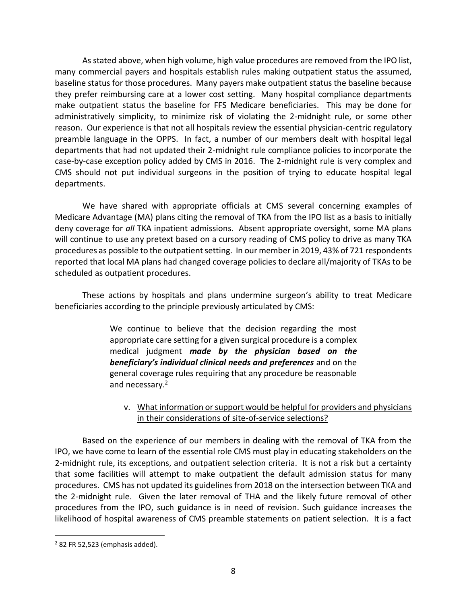As stated above, when high volume, high value procedures are removed from the IPO list, many commercial payers and hospitals establish rules making outpatient status the assumed, baseline status for those procedures. Many payers make outpatient status the baseline because they prefer reimbursing care at a lower cost setting. Many hospital compliance departments make outpatient status the baseline for FFS Medicare beneficiaries. This may be done for administratively simplicity, to minimize risk of violating the 2-midnight rule, or some other reason. Our experience is that not all hospitals review the essential physician-centric regulatory preamble language in the OPPS. In fact, a number of our members dealt with hospital legal departments that had not updated their 2-midnight rule compliance policies to incorporate the case-by-case exception policy added by CMS in 2016. The 2-midnight rule is very complex and CMS should not put individual surgeons in the position of trying to educate hospital legal departments.

We have shared with appropriate officials at CMS several concerning examples of Medicare Advantage (MA) plans citing the removal of TKA from the IPO list as a basis to initially deny coverage for *all* TKA inpatient admissions. Absent appropriate oversight, some MA plans will continue to use any pretext based on a cursory reading of CMS policy to drive as many TKA procedures as possible to the outpatient setting. In our member in 2019, 43% of 721 respondents reported that local MA plans had changed coverage policies to declare all/majority of TKAs to be scheduled as outpatient procedures.

These actions by hospitals and plans undermine surgeon's ability to treat Medicare beneficiaries according to the principle previously articulated by CMS:

> We continue to believe that the decision regarding the most appropriate care setting for a given surgical procedure is a complex medical judgment *made by the physician based on the beneficiary's individual clinical needs and preferences* and on the general coverage rules requiring that any procedure be reasonable and necessary.<sup>2</sup>

### v. What information or support would be helpful for providers and physicians in their considerations of site-of-service selections?

Based on the experience of our members in dealing with the removal of TKA from the IPO, we have come to learn of the essential role CMS must play in educating stakeholders on the 2-midnight rule, its exceptions, and outpatient selection criteria. It is not a risk but a certainty that some facilities will attempt to make outpatient the default admission status for many procedures. CMS has not updated its guidelines from 2018 on the intersection between TKA and the 2-midnight rule. Given the later removal of THA and the likely future removal of other procedures from the IPO, such guidance is in need of revision. Such guidance increases the likelihood of hospital awareness of CMS preamble statements on patient selection. It is a fact

 $\overline{a}$ 

 $2$  82 FR 52,523 (emphasis added).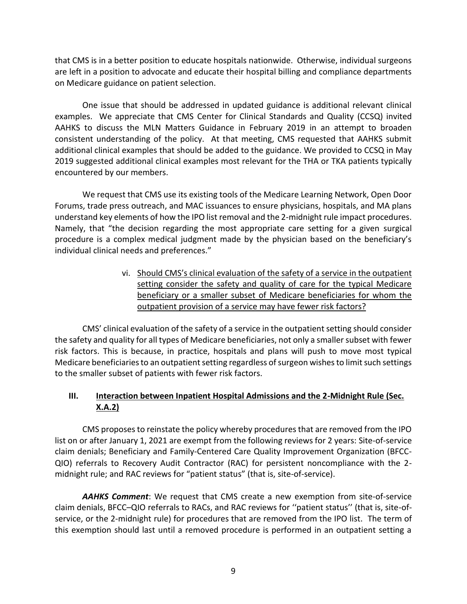that CMS is in a better position to educate hospitals nationwide. Otherwise, individual surgeons are left in a position to advocate and educate their hospital billing and compliance departments on Medicare guidance on patient selection.

One issue that should be addressed in updated guidance is additional relevant clinical examples. We appreciate that CMS Center for Clinical Standards and Quality (CCSQ) invited AAHKS to discuss the MLN Matters Guidance in February 2019 in an attempt to broaden consistent understanding of the policy. At that meeting, CMS requested that AAHKS submit additional clinical examples that should be added to the guidance. We provided to CCSQ in May 2019 suggested additional clinical examples most relevant for the THA or TKA patients typically encountered by our members.

We request that CMS use its existing tools of the Medicare Learning Network, Open Door Forums, trade press outreach, and MAC issuances to ensure physicians, hospitals, and MA plans understand key elements of how the IPO list removal and the 2-midnight rule impact procedures. Namely, that "the decision regarding the most appropriate care setting for a given surgical procedure is a complex medical judgment made by the physician based on the beneficiary's individual clinical needs and preferences."

> vi. Should CMS's clinical evaluation of the safety of a service in the outpatient setting consider the safety and quality of care for the typical Medicare beneficiary or a smaller subset of Medicare beneficiaries for whom the outpatient provision of a service may have fewer risk factors?

CMS' clinical evaluation of the safety of a service in the outpatient setting should consider the safety and quality for all types of Medicare beneficiaries, not only a smaller subset with fewer risk factors. This is because, in practice, hospitals and plans will push to move most typical Medicare beneficiaries to an outpatient setting regardless of surgeon wishes to limit such settings to the smaller subset of patients with fewer risk factors.

# **III. Interaction between Inpatient Hospital Admissions and the 2-Midnight Rule (Sec. X.A.2)**

CMS proposes to reinstate the policy whereby procedures that are removed from the IPO list on or after January 1, 2021 are exempt from the following reviews for 2 years: Site-of-service claim denials; Beneficiary and Family-Centered Care Quality Improvement Organization (BFCC-QIO) referrals to Recovery Audit Contractor (RAC) for persistent noncompliance with the 2 midnight rule; and RAC reviews for "patient status" (that is, site-of-service).

*AAHKS Comment*: We request that CMS create a new exemption from site-of-service claim denials, BFCC–QIO referrals to RACs, and RAC reviews for ''patient status'' (that is, site-ofservice, or the 2-midnight rule) for procedures that are removed from the IPO list. The term of this exemption should last until a removed procedure is performed in an outpatient setting a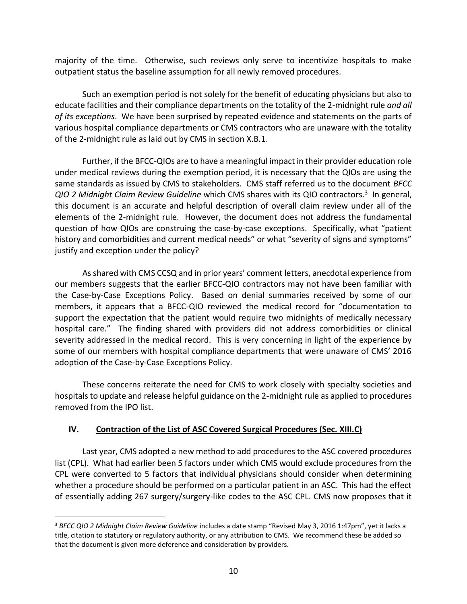majority of the time. Otherwise, such reviews only serve to incentivize hospitals to make outpatient status the baseline assumption for all newly removed procedures.

Such an exemption period is not solely for the benefit of educating physicians but also to educate facilities and their compliance departments on the totality of the 2-midnight rule *and all of its exceptions*. We have been surprised by repeated evidence and statements on the parts of various hospital compliance departments or CMS contractors who are unaware with the totality of the 2-midnight rule as laid out by CMS in section X.B.1.

Further, if the BFCC-QIOs are to have a meaningful impact in their provider education role under medical reviews during the exemption period, it is necessary that the QIOs are using the same standards as issued by CMS to stakeholders. CMS staff referred us to the document *BFCC QIO 2 Midnight Claim Review Guideline* which CMS shares with its QIO contractors.<sup>3</sup> In general, this document is an accurate and helpful description of overall claim review under all of the elements of the 2-midnight rule. However, the document does not address the fundamental question of how QIOs are construing the case-by-case exceptions. Specifically, what "patient history and comorbidities and current medical needs" or what "severity of signs and symptoms" justify and exception under the policy?

As shared with CMS CCSQ and in prior years' comment letters, anecdotal experience from our members suggests that the earlier BFCC-QIO contractors may not have been familiar with the Case-by-Case Exceptions Policy. Based on denial summaries received by some of our members, it appears that a BFCC-QIO reviewed the medical record for "documentation to support the expectation that the patient would require two midnights of medically necessary hospital care." The finding shared with providers did not address comorbidities or clinical severity addressed in the medical record. This is very concerning in light of the experience by some of our members with hospital compliance departments that were unaware of CMS' 2016 adoption of the Case-by-Case Exceptions Policy.

These concerns reiterate the need for CMS to work closely with specialty societies and hospitals to update and release helpful guidance on the 2-midnight rule as applied to procedures removed from the IPO list.

### **IV. Contraction of the List of ASC Covered Surgical Procedures (Sec. XIII.C)**

 $\overline{a}$ 

Last year, CMS adopted a new method to add procedures to the ASC covered procedures list (CPL). What had earlier been 5 factors under which CMS would exclude procedures from the CPL were converted to 5 factors that individual physicians should consider when determining whether a procedure should be performed on a particular patient in an ASC. This had the effect of essentially adding 267 surgery/surgery-like codes to the ASC CPL. CMS now proposes that it

<sup>3</sup> *BFCC QIO 2 Midnight Claim Review Guideline* includes a date stamp "Revised May 3, 2016 1:47pm", yet it lacks a title, citation to statutory or regulatory authority, or any attribution to CMS. We recommend these be added so that the document is given more deference and consideration by providers.